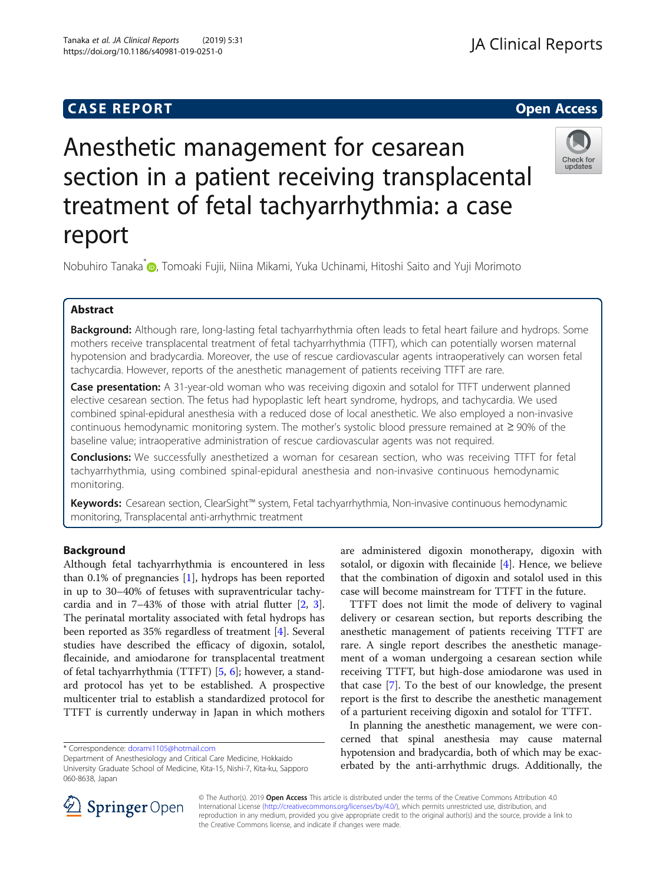## **CASE REPORT And SERVICE SERVICE SERVICE SERVICE SERVICE SERVICE SERVICE SERVICE SERVICE SERVICE SERVICE SERVICE**

## **JA Clinical Reports**

# Anesthetic management for cesarean section in a patient receiving transplacental treatment of fetal tachyarrhythmia: a case report



Nobuhiro Tanaka<sup>[\\*](http://orcid.org/0000-0002-8077-7404)</sup> (D. Tomoaki Fujii, Niina Mikami, Yuka Uchinami, Hitoshi Saito and Yuji Morimoto

#### Abstract

Background: Although rare, long-lasting fetal tachyarrhythmia often leads to fetal heart failure and hydrops. Some mothers receive transplacental treatment of fetal tachyarrhythmia (TTFT), which can potentially worsen maternal hypotension and bradycardia. Moreover, the use of rescue cardiovascular agents intraoperatively can worsen fetal tachycardia. However, reports of the anesthetic management of patients receiving TTFT are rare.

Case presentation: A 31-year-old woman who was receiving digoxin and sotalol for TTFT underwent planned elective cesarean section. The fetus had hypoplastic left heart syndrome, hydrops, and tachycardia. We used combined spinal-epidural anesthesia with a reduced dose of local anesthetic. We also employed a non-invasive continuous hemodynamic monitoring system. The mother's systolic blood pressure remained at ≥ 90% of the baseline value; intraoperative administration of rescue cardiovascular agents was not required.

**Conclusions:** We successfully anesthetized a woman for cesarean section, who was receiving TTFT for fetal tachyarrhythmia, using combined spinal-epidural anesthesia and non-invasive continuous hemodynamic monitoring.

Keywords: Cesarean section, ClearSight™ system, Fetal tachyarrhythmia, Non-invasive continuous hemodynamic monitoring, Transplacental anti-arrhythmic treatment

#### Background

Although fetal tachyarrhythmia is encountered in less than 0.1% of pregnancies [[1](#page-3-0)], hydrops has been reported in up to 30–40% of fetuses with supraventricular tachycardia and in 7–43% of those with atrial flutter [[2,](#page-3-0) [3](#page-3-0)]. The perinatal mortality associated with fetal hydrops has been reported as 35% regardless of treatment [\[4](#page-3-0)]. Several studies have described the efficacy of digoxin, sotalol, flecainide, and amiodarone for transplacental treatment of fetal tachyarrhythmia (TTFT) [\[5](#page-3-0), [6](#page-3-0)]; however, a standard protocol has yet to be established. A prospective multicenter trial to establish a standardized protocol for TTFT is currently underway in Japan in which mothers

\* Correspondence: [dorami1105@hotmail.com](mailto:dorami1105@hotmail.com)

are administered digoxin monotherapy, digoxin with sotalol, or digoxin with flecainide [\[4](#page-3-0)]. Hence, we believe that the combination of digoxin and sotalol used in this case will become mainstream for TTFT in the future.

TTFT does not limit the mode of delivery to vaginal delivery or cesarean section, but reports describing the anesthetic management of patients receiving TTFT are rare. A single report describes the anesthetic management of a woman undergoing a cesarean section while receiving TTFT, but high-dose amiodarone was used in that case [\[7](#page-3-0)]. To the best of our knowledge, the present report is the first to describe the anesthetic management of a parturient receiving digoxin and sotalol for TTFT.

In planning the anesthetic management, we were concerned that spinal anesthesia may cause maternal hypotension and bradycardia, both of which may be exacerbated by the anti-arrhythmic drugs. Additionally, the



© The Author(s). 2019 Open Access This article is distributed under the terms of the Creative Commons Attribution 4.0 International License ([http://creativecommons.org/licenses/by/4.0/\)](http://creativecommons.org/licenses/by/4.0/), which permits unrestricted use, distribution, and reproduction in any medium, provided you give appropriate credit to the original author(s) and the source, provide a link to the Creative Commons license, and indicate if changes were made.

Department of Anesthesiology and Critical Care Medicine, Hokkaido University Graduate School of Medicine, Kita-15, Nishi-7, Kita-ku, Sapporo 060-8638, Japan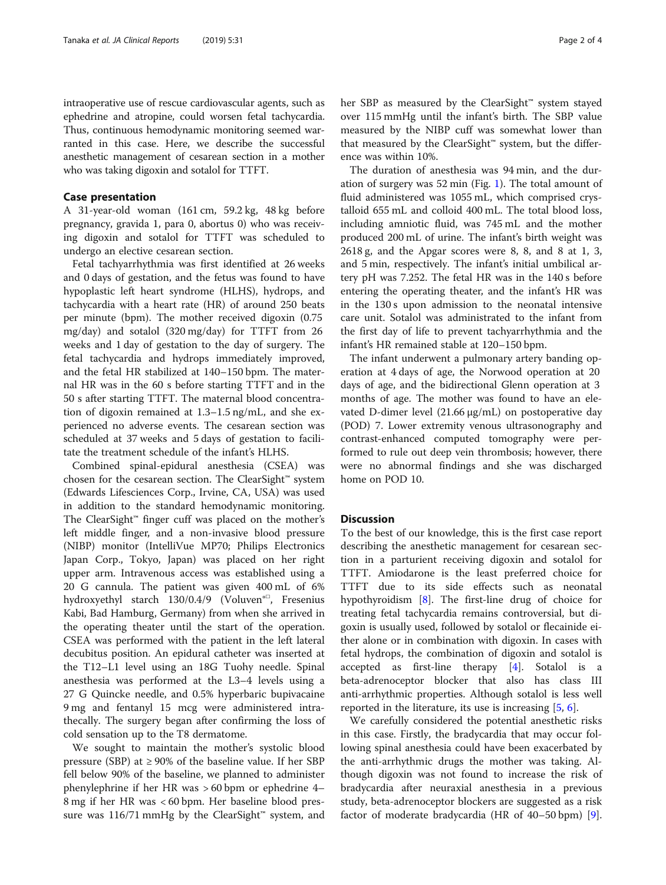intraoperative use of rescue cardiovascular agents, such as ephedrine and atropine, could worsen fetal tachycardia. Thus, continuous hemodynamic monitoring seemed warranted in this case. Here, we describe the successful anesthetic management of cesarean section in a mother who was taking digoxin and sotalol for TTFT.

#### Case presentation

A 31-year-old woman (161 cm, 59.2 kg, 48 kg before pregnancy, gravida 1, para 0, abortus 0) who was receiving digoxin and sotalol for TTFT was scheduled to undergo an elective cesarean section.

Fetal tachyarrhythmia was first identified at 26 weeks and 0 days of gestation, and the fetus was found to have hypoplastic left heart syndrome (HLHS), hydrops, and tachycardia with a heart rate (HR) of around 250 beats per minute (bpm). The mother received digoxin (0.75 mg/day) and sotalol (320 mg/day) for TTFT from 26 weeks and 1 day of gestation to the day of surgery. The fetal tachycardia and hydrops immediately improved, and the fetal HR stabilized at 140–150 bpm. The maternal HR was in the 60 s before starting TTFT and in the 50 s after starting TTFT. The maternal blood concentration of digoxin remained at 1.3–1.5 ng/mL, and she experienced no adverse events. The cesarean section was scheduled at 37 weeks and 5 days of gestation to facilitate the treatment schedule of the infant's HLHS.

Combined spinal-epidural anesthesia (CSEA) was chosen for the cesarean section. The ClearSight™ system (Edwards Lifesciences Corp., Irvine, CA, USA) was used in addition to the standard hemodynamic monitoring. The ClearSight™ finger cuff was placed on the mother's left middle finger, and a non-invasive blood pressure (NIBP) monitor (IntelliVue MP70; Philips Electronics Japan Corp., Tokyo, Japan) was placed on her right upper arm. Intravenous access was established using a 20 G cannula. The patient was given 400 mL of 6% hydroxyethyl starch 130/0.4/9 (Voluven<sup>®□</sup>, Fresenius Kabi, Bad Hamburg, Germany) from when she arrived in the operating theater until the start of the operation. CSEA was performed with the patient in the left lateral decubitus position. An epidural catheter was inserted at the T12–L1 level using an 18G Tuohy needle. Spinal anesthesia was performed at the L3–4 levels using a 27 G Quincke needle, and 0.5% hyperbaric bupivacaine 9 mg and fentanyl 15 mcg were administered intrathecally. The surgery began after confirming the loss of cold sensation up to the T8 dermatome.

We sought to maintain the mother's systolic blood pressure (SBP) at  $\geq$  90% of the baseline value. If her SBP fell below 90% of the baseline, we planned to administer phenylephrine if her HR was > 60 bpm or ephedrine 4– 8 mg if her HR was < 60 bpm. Her baseline blood pressure was  $116/71$  mmHg by the ClearSight<sup>™</sup> system, and her SBP as measured by the ClearSight™ system stayed over 115 mmHg until the infant's birth. The SBP value measured by the NIBP cuff was somewhat lower than that measured by the ClearSight™ system, but the difference was within 10%.

The duration of anesthesia was 94 min, and the duration of surgery was 52 min (Fig. [1](#page-2-0)). The total amount of fluid administered was 1055 mL, which comprised crystalloid 655 mL and colloid 400 mL. The total blood loss, including amniotic fluid, was 745 mL and the mother produced 200 mL of urine. The infant's birth weight was 2618 g, and the Apgar scores were 8, 8, and 8 at 1, 3, and 5 min, respectively. The infant's initial umbilical artery pH was 7.252. The fetal HR was in the 140 s before entering the operating theater, and the infant's HR was in the 130 s upon admission to the neonatal intensive care unit. Sotalol was administrated to the infant from the first day of life to prevent tachyarrhythmia and the infant's HR remained stable at 120–150 bpm.

The infant underwent a pulmonary artery banding operation at 4 days of age, the Norwood operation at 20 days of age, and the bidirectional Glenn operation at 3 months of age. The mother was found to have an elevated D-dimer level  $(21.66 \mu g/mL)$  on postoperative day (POD) 7. Lower extremity venous ultrasonography and contrast-enhanced computed tomography were performed to rule out deep vein thrombosis; however, there were no abnormal findings and she was discharged home on POD 10.

#### **Discussion**

To the best of our knowledge, this is the first case report describing the anesthetic management for cesarean section in a parturient receiving digoxin and sotalol for TTFT. Amiodarone is the least preferred choice for TTFT due to its side effects such as neonatal hypothyroidism [[8\]](#page-3-0). The first-line drug of choice for treating fetal tachycardia remains controversial, but digoxin is usually used, followed by sotalol or flecainide either alone or in combination with digoxin. In cases with fetal hydrops, the combination of digoxin and sotalol is accepted as first-line therapy [\[4](#page-3-0)]. Sotalol is a beta-adrenoceptor blocker that also has class III anti-arrhythmic properties. Although sotalol is less well reported in the literature, its use is increasing  $[5, 6]$  $[5, 6]$  $[5, 6]$  $[5, 6]$ .

We carefully considered the potential anesthetic risks in this case. Firstly, the bradycardia that may occur following spinal anesthesia could have been exacerbated by the anti-arrhythmic drugs the mother was taking. Although digoxin was not found to increase the risk of bradycardia after neuraxial anesthesia in a previous study, beta-adrenoceptor blockers are suggested as a risk factor of moderate bradycardia (HR of 40–50 bpm) [\[9](#page-3-0)].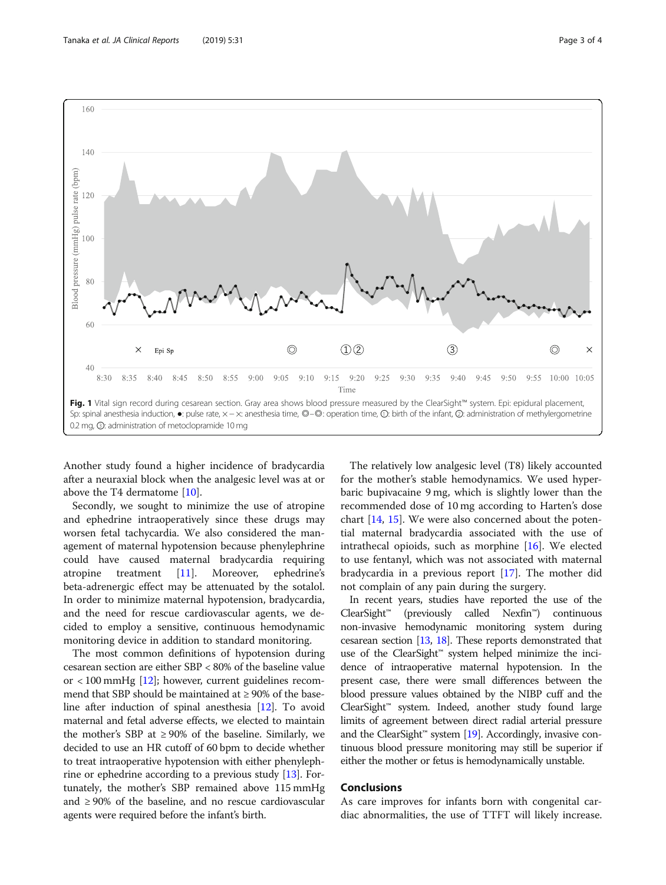<span id="page-2-0"></span>

Another study found a higher incidence of bradycardia after a neuraxial block when the analgesic level was at or above the T4 dermatome [[10\]](#page-3-0).

Secondly, we sought to minimize the use of atropine and ephedrine intraoperatively since these drugs may worsen fetal tachycardia. We also considered the management of maternal hypotension because phenylephrine could have caused maternal bradycardia requiring atropine treatment [\[11\]](#page-3-0). Moreover, ephedrine's beta-adrenergic effect may be attenuated by the sotalol. In order to minimize maternal hypotension, bradycardia, and the need for rescue cardiovascular agents, we decided to employ a sensitive, continuous hemodynamic monitoring device in addition to standard monitoring.

The most common definitions of hypotension during cesarean section are either SBP < 80% of the baseline value or < 100 mmHg [[12](#page-3-0)]; however, current guidelines recommend that SBP should be maintained at  $\geq$  90% of the baseline after induction of spinal anesthesia [[12\]](#page-3-0). To avoid maternal and fetal adverse effects, we elected to maintain the mother's SBP at  $\geq 90\%$  of the baseline. Similarly, we decided to use an HR cutoff of 60 bpm to decide whether to treat intraoperative hypotension with either phenylephrine or ephedrine according to a previous study [[13](#page-3-0)]. Fortunately, the mother's SBP remained above 115 mmHg and  $\geq$  90% of the baseline, and no rescue cardiovascular agents were required before the infant's birth.

The relatively low analgesic level (T8) likely accounted for the mother's stable hemodynamics. We used hyperbaric bupivacaine 9 mg, which is slightly lower than the recommended dose of 10 mg according to Harten's dose chart [[14,](#page-3-0) [15\]](#page-3-0). We were also concerned about the potential maternal bradycardia associated with the use of intrathecal opioids, such as morphine [[16\]](#page-3-0). We elected to use fentanyl, which was not associated with maternal bradycardia in a previous report [[17](#page-3-0)]. The mother did not complain of any pain during the surgery.

In recent years, studies have reported the use of the ClearSight™ (previously called Nexfin™) continuous non-invasive hemodynamic monitoring system during cesarean section [\[13,](#page-3-0) [18\]](#page-3-0). These reports demonstrated that use of the ClearSight™ system helped minimize the incidence of intraoperative maternal hypotension. In the present case, there were small differences between the blood pressure values obtained by the NIBP cuff and the ClearSight™ system. Indeed, another study found large limits of agreement between direct radial arterial pressure and the ClearSight<sup>™</sup> system  $[19]$  $[19]$  $[19]$ . Accordingly, invasive continuous blood pressure monitoring may still be superior if either the mother or fetus is hemodynamically unstable.

#### Conclusions

As care improves for infants born with congenital cardiac abnormalities, the use of TTFT will likely increase.